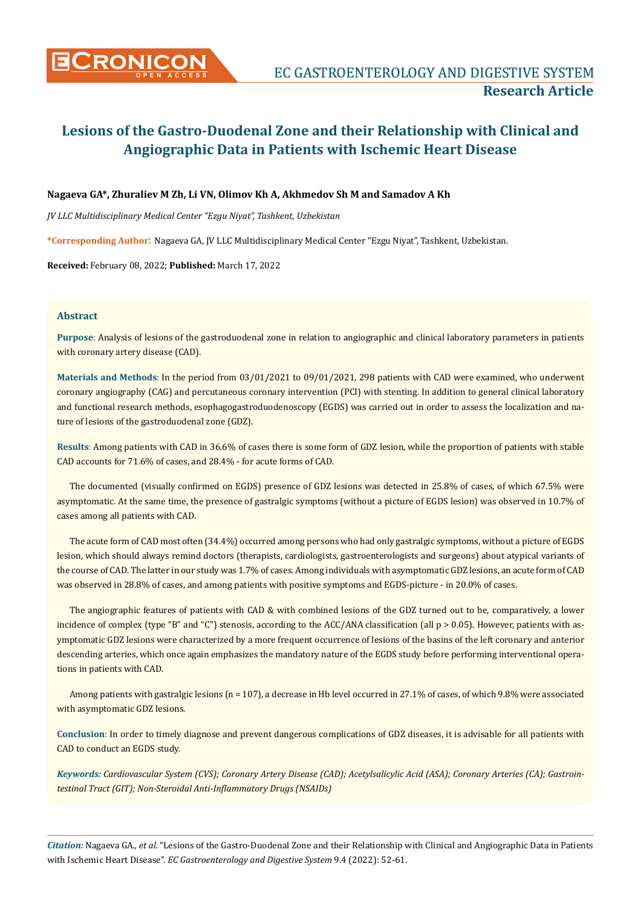# **Nagaeva GA\*, Zhuraliev M Zh, Li VN, Olimov Kh A, Akhmedov Sh M and Samadov A Kh**

*JV LLC Multidisciplinary Medical Center "Ezgu Niyat", Tashkent, Uzbekistan*

**\*Corresponding Author**: Nagaeva GA, JV LLC Multidisciplinary Medical Center "Ezgu Niyat", Tashkent, Uzbekistan.

**Received:** February 08, 2022; **Published:** March 17, 2022

## **Abstract**

**Purpose**: Analysis of lesions of the gastroduodenal zone in relation to angiographic and clinical laboratory parameters in patients with coronary artery disease (CAD).

**Materials and Methods**: In the period from 03/01/2021 to 09/01/2021, 298 patients with CAD were examined, who underwent coronary angiography (CAG) and percutaneous coronary intervention (PCI) with stenting. In addition to general clinical laboratory and functional research methods, esophagogastroduodenoscopy (EGDS) was carried out in order to assess the localization and nature of lesions of the gastroduodenal zone (GDZ).

**Results**: Among patients with CAD in 36.6% of cases there is some form of GDZ lesion, while the proportion of patients with stable CAD accounts for 71.6% of cases, and 28.4% - for acute forms of CAD.

The documented (visually confirmed on EGDS) presence of GDZ lesions was detected in 25.8% of cases, of which 67.5% were asymptomatic. At the same time, the presence of gastralgic symptoms (without a picture of EGDS lesion) was observed in 10.7% of cases among all patients with CAD.

The acute form of CAD most often (34.4%) occurred among persons who had only gastralgic symptoms, without a picture of EGDS lesion, which should always remind doctors (therapists, cardiologists, gastroenterologists and surgeons) about atypical variants of the course of CAD. The latter in our study was 1.7% of cases. Among individuals with asymptomatic GDZ lesions, an acute form of CAD was observed in 28.8% of cases, and among patients with positive symptoms and EGDS-picture - in 20.0% of cases.

The angiographic features of patients with CAD & with combined lesions of the GDZ turned out to be, comparatively, a lower incidence of complex (type "B" and "C") stenosis, according to the ACC/ANA classification (all  $p > 0.05$ ). However, patients with asymptomatic GDZ lesions were characterized by a more frequent occurrence of lesions of the basins of the left coronary and anterior descending arteries, which once again emphasizes the mandatory nature of the EGDS study before performing interventional operations in patients with CAD.

Among patients with gastralgic lesions (n = 107), a decrease in Hb level occurred in 27.1% of cases, of which 9.8% were associated with asymptomatic GDZ lesions.

**Conclusion**: In order to timely diagnose and prevent dangerous complications of GDZ diseases, it is advisable for all patients with CAD to conduct an EGDS study.

*Keywords: Cardiovascular System (CVS); Coronary Artery Disease (CAD); Acetylsalicylic Acid (ASA); Coronary Arteries (CA); Gastrointestinal Tract (GIT); Non-Steroidal Anti-Inflammatory Drugs (NSAIDs)*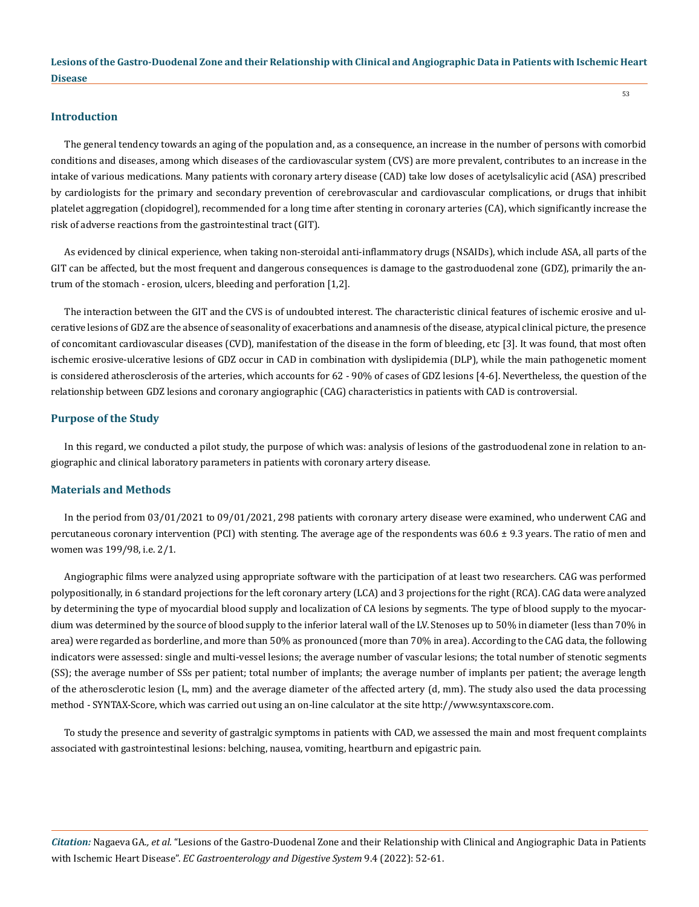#### **Introduction**

The general tendency towards an aging of the population and, as a consequence, an increase in the number of persons with comorbid conditions and diseases, among which diseases of the cardiovascular system (CVS) are more prevalent, contributes to an increase in the intake of various medications. Many patients with coronary artery disease (CAD) take low doses of acetylsalicylic acid (ASA) prescribed by cardiologists for the primary and secondary prevention of cerebrovascular and cardiovascular complications, or drugs that inhibit platelet aggregation (clopidogrel), recommended for a long time after stenting in coronary arteries (CA), which significantly increase the risk of adverse reactions from the gastrointestinal tract (GIT).

As evidenced by clinical experience, when taking non-steroidal anti-inflammatory drugs (NSAIDs), which include ASA, all parts of the GIT can be affected, but the most frequent and dangerous consequences is damage to the gastroduodenal zone (GDZ), primarily the antrum of the stomach - erosion, ulcers, bleeding and perforation [1,2].

The interaction between the GIT and the CVS is of undoubted interest. The characteristic clinical features of ischemic erosive and ulcerative lesions of GDZ are the absence of seasonality of exacerbations and anamnesis of the disease, atypical clinical picture, the presence of concomitant cardiovascular diseases (CVD), manifestation of the disease in the form of bleeding, etc [3]. It was found, that most often ischemic erosive-ulcerative lesions of GDZ occur in CAD in combination with dyslipidemia (DLP), while the main pathogenetic moment is considered atherosclerosis of the arteries, which accounts for 62 - 90% of cases of GDZ lesions [4-6]. Nevertheless, the question of the relationship between GDZ lesions and coronary angiographic (CAG) characteristics in patients with CAD is controversial.

#### **Purpose of the Study**

In this regard, we conducted a pilot study, the purpose of which was: analysis of lesions of the gastroduodenal zone in relation to angiographic and clinical laboratory parameters in patients with coronary artery disease.

#### **Materials and Methods**

In the period from 03/01/2021 to 09/01/2021, 298 patients with coronary artery disease were examined, who underwent CAG and percutaneous coronary intervention (PCI) with stenting. The average age of the respondents was 60.6 ± 9.3 years. The ratio of men and women was 199/98, i.e. 2/1.

Angiographic films were analyzed using appropriate software with the participation of at least two researchers. CAG was performed polypositionally, in 6 standard projections for the left coronary artery (LCA) and 3 projections for the right (RCA). CAG data were analyzed by determining the type of myocardial blood supply and localization of CA lesions by segments. The type of blood supply to the myocardium was determined by the source of blood supply to the inferior lateral wall of the LV. Stenoses up to 50% in diameter (less than 70% in area) were regarded as borderline, and more than 50% as pronounced (more than 70% in area). According to the CAG data, the following indicators were assessed: single and multi-vessel lesions; the average number of vascular lesions; the total number of stenotic segments (SS); the average number of SSs per patient; total number of implants; the average number of implants per patient; the average length of the atherosclerotic lesion (L, mm) and the average diameter of the affected artery (d, mm). The study also used the data processing method - SYNTAX-Score, which was carried out using an on-line calculator at the site http://www.syntaxscore.com.

To study the presence and severity of gastralgic symptoms in patients with CAD, we assessed the main and most frequent complaints associated with gastrointestinal lesions: belching, nausea, vomiting, heartburn and epigastric pain.

*Citation:* Nagaeva GA*., et al.* "Lesions of the Gastro-Duodenal Zone and their Relationship with Clinical and Angiographic Data in Patients with Ischemic Heart Disease". *EC Gastroenterology and Digestive System* 9.4 (2022): 52-61.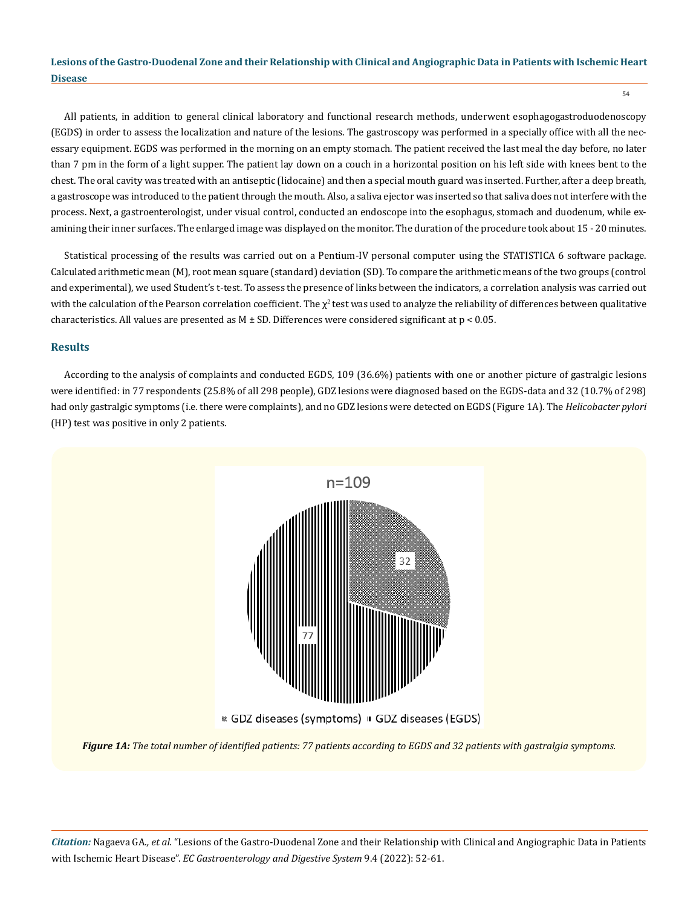54

All patients, in addition to general clinical laboratory and functional research methods, underwent esophagogastroduodenoscopy (EGDS) in order to assess the localization and nature of the lesions. The gastroscopy was performed in a specially office with all the necessary equipment. EGDS was performed in the morning on an empty stomach. The patient received the last meal the day before, no later than 7 pm in the form of a light supper. The patient lay down on a couch in a horizontal position on his left side with knees bent to the chest. The oral cavity was treated with an antiseptic (lidocaine) and then a special mouth guard was inserted. Further, after a deep breath, a gastroscope was introduced to the patient through the mouth. Also, a saliva ejector was inserted so that saliva does not interfere with the process. Next, a gastroenterologist, under visual control, conducted an endoscope into the esophagus, stomach and duodenum, while examining their inner surfaces. The enlarged image was displayed on the monitor. The duration of the procedure took about 15 - 20 minutes.

Statistical processing of the results was carried out on a Pentium-IV personal computer using the STATISTICA 6 software package. Calculated arithmetic mean (M), root mean square (standard) deviation (SD). To compare the arithmetic means of the two groups (control and experimental), we used Student's t-test. To assess the presence of links between the indicators, a correlation analysis was carried out with the calculation of the Pearson correlation coefficient. The  $\chi^2$  test was used to analyze the reliability of differences between qualitative characteristics. All values are presented as  $M \pm SD$ . Differences were considered significant at  $p < 0.05$ .

## **Results**

According to the analysis of complaints and conducted EGDS, 109 (36.6%) patients with one or another picture of gastralgic lesions were identified: in 77 respondents (25.8% of all 298 people), GDZ lesions were diagnosed based on the EGDS-data and 32 (10.7% of 298) had only gastralgic symptoms (i.e. there were complaints), and no GDZ lesions were detected on EGDS (Figure 1A). The *Helicobacter pylori* (HP) test was positive in only 2 patients.



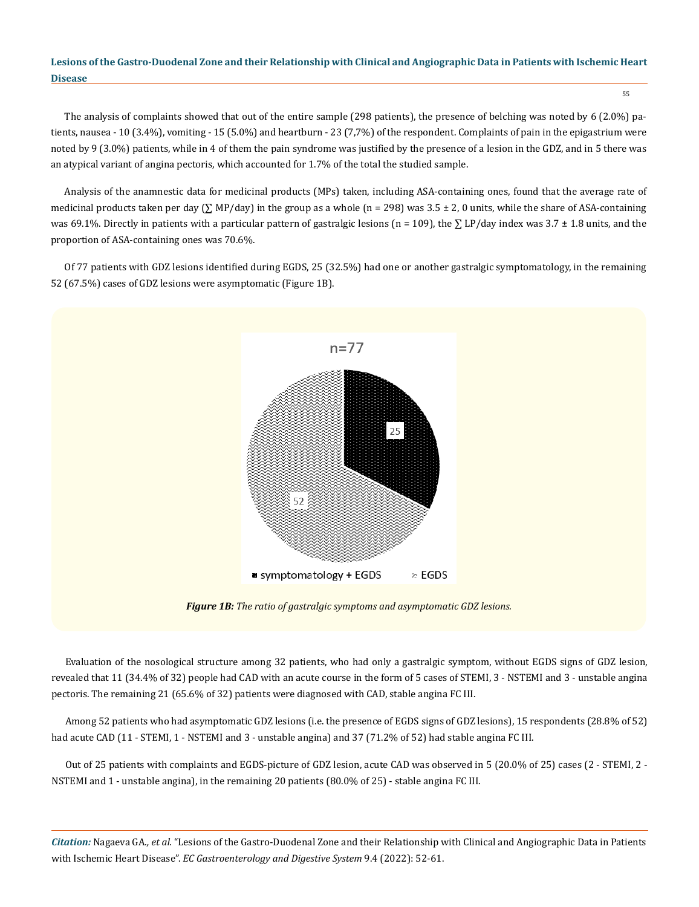55

The analysis of complaints showed that out of the entire sample (298 patients), the presence of belching was noted by 6 (2.0%) patients, nausea - 10 (3.4%), vomiting - 15 (5.0%) and heartburn - 23 (7,7%) of the respondent. Complaints of pain in the epigastrium were noted by 9 (3.0%) patients, while in 4 of them the pain syndrome was justified by the presence of a lesion in the GDZ, and in 5 there was an atypical variant of angina pectoris, which accounted for 1.7% of the total the studied sample.

Analysis of the anamnestic data for medicinal products (MPs) taken, including ASA-containing ones, found that the average rate of medicinal products taken per day  $(\Sigma MP/day)$  in the group as a whole (n = 298) was 3.5 ± 2, 0 units, while the share of ASA-containing was 69.1%. Directly in patients with a particular pattern of gastralgic lesions (n = 109), the  $\sum LP$  (day index was 3.7 ± 1.8 units, and the proportion of ASA-containing ones was 70.6%.

Of 77 patients with GDZ lesions identified during EGDS, 25 (32.5%) had one or another gastralgic symptomatology, in the remaining 52 (67.5%) cases of GDZ lesions were asymptomatic (Figure 1B).



*Figure 1B: The ratio of gastralgic symptoms and asymptomatic GDZ lesions.*

Evaluation of the nosological structure among 32 patients, who had only a gastralgic symptom, without EGDS signs of GDZ lesion, revealed that 11 (34.4% of 32) people had CAD with an acute course in the form of 5 cases of STEMI, 3 - NSTEMI and 3 - unstable angina pectoris. The remaining 21 (65.6% of 32) patients were diagnosed with CAD, stable angina FC III.

Among 52 patients who had asymptomatic GDZ lesions (i.e. the presence of EGDS signs of GDZ lesions), 15 respondents (28.8% of 52) had acute CAD (11 - STEMI, 1 - NSTEMI and 3 - unstable angina) and 37 (71.2% of 52) had stable angina FC III.

Out of 25 patients with complaints and EGDS-picture of GDZ lesion, acute CAD was observed in 5 (20.0% of 25) cases (2 - STEMI, 2 -NSTEMI and 1 - unstable angina), in the remaining 20 patients (80.0% of 25) - stable angina FC III.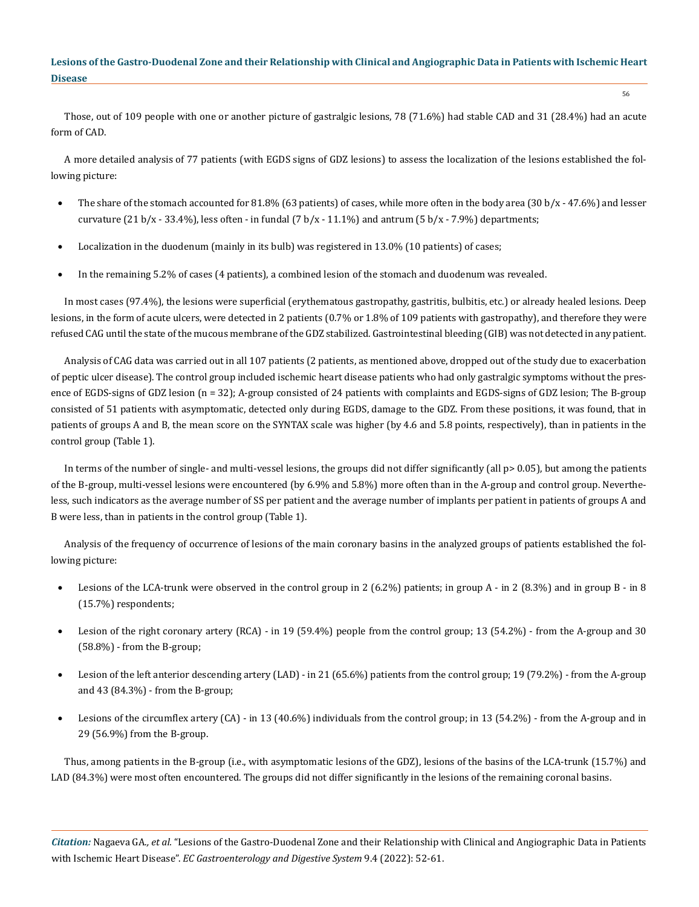Those, out of 109 people with one or another picture of gastralgic lesions, 78 (71.6%) had stable CAD and 31 (28.4%) had an acute form of CAD.

A more detailed analysis of 77 patients (with EGDS signs of GDZ lesions) to assess the localization of the lesions established the following picture:

- The share of the stomach accounted for 81.8% (63 patients) of cases, while more often in the body area (30 b/x 47.6%) and lesser curvature (21 b/x - 33.4%), less often - in fundal (7 b/x - 11.1%) and antrum (5 b/x - 7.9%) departments;
- Localization in the duodenum (mainly in its bulb) was registered in 13.0% (10 patients) of cases;
- In the remaining 5.2% of cases (4 patients), a combined lesion of the stomach and duodenum was revealed.

In most cases (97.4%), the lesions were superficial (erythematous gastropathy, gastritis, bulbitis, etc.) or already healed lesions. Deep lesions, in the form of acute ulcers, were detected in 2 patients (0.7% or 1.8% of 109 patients with gastropathy), and therefore they were refused CAG until the state of the mucous membrane of the GDZ stabilized. Gastrointestinal bleeding (GIB) was not detected in any patient.

Analysis of CAG data was carried out in all 107 patients (2 patients, as mentioned above, dropped out of the study due to exacerbation of peptic ulcer disease). The control group included ischemic heart disease patients who had only gastralgic symptoms without the presence of EGDS-signs of GDZ lesion (n = 32); A-group consisted of 24 patients with complaints and EGDS-signs of GDZ lesion; The B-group consisted of 51 patients with asymptomatic, detected only during EGDS, damage to the GDZ. From these positions, it was found, that in patients of groups A and B, the mean score on the SYNTAX scale was higher (by 4.6 and 5.8 points, respectively), than in patients in the control group (Table 1).

In terms of the number of single- and multi-vessel lesions, the groups did not differ significantly (all p> 0.05), but among the patients of the B-group, multi-vessel lesions were encountered (by 6.9% and 5.8%) more often than in the A-group and control group. Nevertheless, such indicators as the average number of SS per patient and the average number of implants per patient in patients of groups A and B were less, than in patients in the control group (Table 1).

Analysis of the frequency of occurrence of lesions of the main coronary basins in the analyzed groups of patients established the following picture:

- Lesions of the LCA-trunk were observed in the control group in 2 (6.2%) patients; in group A in 2 (8.3%) and in group B in 8 (15.7%) respondents;
- Lesion of the right coronary artery  $(RCA)$  in 19 (59.4%) people from the control group; 13 (54.2%) from the A-group and 30 (58.8%) - from the B-group;
- Lesion of the left anterior descending artery (LAD) in 21 (65.6%) patients from the control group; 19 (79.2%) from the A-group and 43 (84.3%) - from the B-group;
- Lesions of the circumflex artery (CA) in 13 (40.6%) individuals from the control group; in 13 (54.2%) from the A-group and in 29 (56.9%) from the B-group.

Thus, among patients in the B-group (i.e., with asymptomatic lesions of the GDZ), lesions of the basins of the LCA-trunk (15.7%) and LAD (84.3%) were most often encountered. The groups did not differ significantly in the lesions of the remaining coronal basins.

*Citation:* Nagaeva GA*., et al.* "Lesions of the Gastro-Duodenal Zone and their Relationship with Clinical and Angiographic Data in Patients with Ischemic Heart Disease". *EC Gastroenterology and Digestive System* 9.4 (2022): 52-61.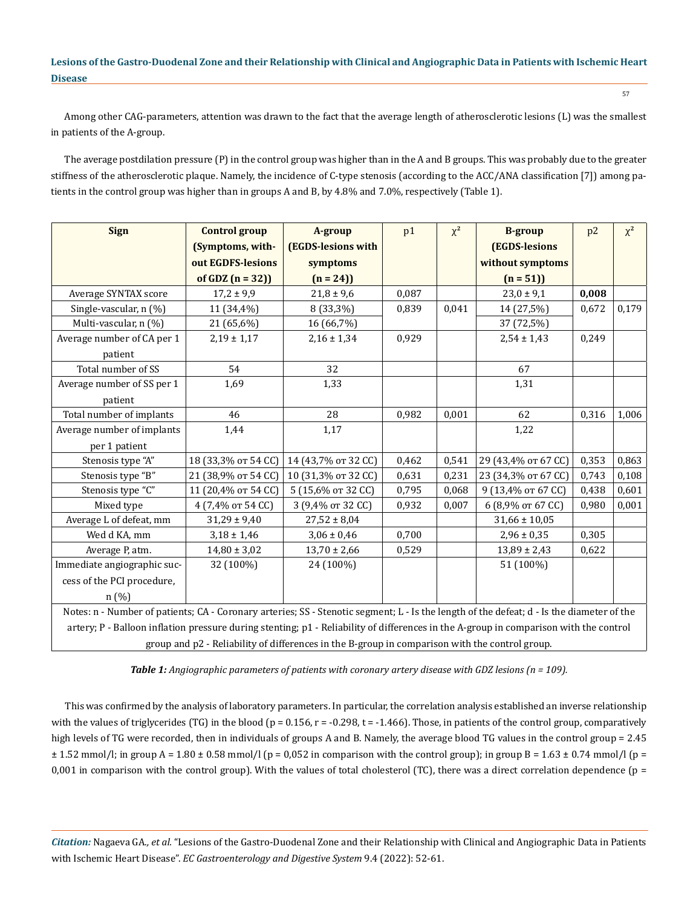Among other CAG-parameters, attention was drawn to the fact that the average length of atherosclerotic lesions (L) was the smallest in patients of the A-group.

The average postdilation pressure (P) in the control group was higher than in the A and B groups. This was probably due to the greater stiffness of the atherosclerotic plaque. Namely, the incidence of C-type stenosis (according to the ACC/ANA classification [7]) among patients in the control group was higher than in groups A and B, by 4.8% and 7.0%, respectively (Table 1).

| <b>Sign</b>                                                                                                                               | <b>Control group</b> | A-group             | p1    | $\chi^2$ | <b>B-group</b>      | p2    | $\chi^2$ |
|-------------------------------------------------------------------------------------------------------------------------------------------|----------------------|---------------------|-------|----------|---------------------|-------|----------|
|                                                                                                                                           | (Symptoms, with-     | (EGDS-lesions with  |       |          | (EGDS-lesions       |       |          |
|                                                                                                                                           | out EGDFS-lesions    | symptoms            |       |          | without symptoms    |       |          |
|                                                                                                                                           | of GDZ $(n = 32)$    | $(n = 24)$          |       |          | $(n = 51)$          |       |          |
| Average SYNTAX score                                                                                                                      | $17,2 \pm 9,9$       | $21,8 \pm 9,6$      | 0,087 |          | $23,0 \pm 9,1$      | 0,008 |          |
| Single-vascular, n (%)                                                                                                                    | 11 (34,4%)           | 8 (33,3%)           | 0,839 | 0,041    | 14 (27,5%)          | 0,672 | 0,179    |
| Multi-vascular, n (%)                                                                                                                     | 21 (65,6%)           | 16 (66,7%)          |       |          | 37 (72,5%)          |       |          |
| Average number of CA per 1                                                                                                                | $2,19 \pm 1,17$      | $2,16 \pm 1,34$     | 0,929 |          | $2,54 \pm 1,43$     | 0,249 |          |
| patient                                                                                                                                   |                      |                     |       |          |                     |       |          |
| Total number of SS                                                                                                                        | 54                   | 32                  |       |          | 67                  |       |          |
| Average number of SS per 1                                                                                                                | 1,69                 | 1,33                |       |          | 1,31                |       |          |
| patient                                                                                                                                   |                      |                     |       |          |                     |       |          |
| Total number of implants                                                                                                                  | 46                   | 28                  | 0,982 | 0,001    | 62                  | 0,316 | 1,006    |
| Average number of implants                                                                                                                | 1,44                 | 1,17                |       |          | 1,22                |       |          |
| per 1 patient                                                                                                                             |                      |                     |       |          |                     |       |          |
| Stenosis type "A"                                                                                                                         | 18 (33,3% or 54 CC)  | 14 (43,7% or 32 CC) | 0,462 | 0,541    | 29 (43,4% or 67 CC) | 0,353 | 0,863    |
| Stenosis type "B"                                                                                                                         | 21 (38,9% or 54 CC)  | 10 (31,3% or 32 CC) | 0,631 | 0,231    | 23 (34,3% or 67 CC) | 0,743 | 0,108    |
| Stenosis type "C"                                                                                                                         | 11 (20,4% or 54 CC)  | 5 (15,6% or 32 CC)  | 0,795 | 0,068    | 9 (13,4% от 67 СС)  | 0,438 | 0,601    |
| Mixed type                                                                                                                                | 4 (7,4% or 54 CC)    | 3 (9,4% or 32 CC)   | 0,932 | 0,007    | 6 (8,9% от 67 СС)   | 0,980 | 0,001    |
| Average L of defeat, mm                                                                                                                   | $31,29 \pm 9,40$     | $27,52 \pm 8,04$    |       |          | $31,66 \pm 10,05$   |       |          |
| Wed d KA, mm                                                                                                                              | $3,18 \pm 1,46$      | $3,06 \pm 0,46$     | 0,700 |          | $2,96 \pm 0,35$     | 0,305 |          |
| Average P, atm.                                                                                                                           | $14,80 \pm 3,02$     | $13,70 \pm 2,66$    | 0,529 |          | $13,89 \pm 2,43$    | 0,622 |          |
| Immediate angiographic suc-                                                                                                               | 32 (100%)            | 24 (100%)           |       |          | 51 (100%)           |       |          |
| cess of the PCI procedure,                                                                                                                |                      |                     |       |          |                     |       |          |
| n (%)                                                                                                                                     |                      |                     |       |          |                     |       |          |
| Notes: n - Number of patients; CA - Coronary arteries; SS - Stenotic segment; L - Is the length of the defeat; d - Is the diameter of the |                      |                     |       |          |                     |       |          |
| artery; P - Balloon inflation pressure during stenting; p1 - Reliability of differences in the A-group in comparison with the control     |                      |                     |       |          |                     |       |          |
| group and p2 - Reliability of differences in the B-group in comparison with the control group.                                            |                      |                     |       |          |                     |       |          |

*Table 1: Angiographic parameters of patients with coronary artery disease with GDZ lesions (n = 109).*

This was confirmed by the analysis of laboratory parameters. In particular, the correlation analysis established an inverse relationship with the values of triglycerides (TG) in the blood ( $p = 0.156$ ,  $r = -0.298$ ,  $t = -1.466$ ). Those, in patients of the control group, comparatively high levels of TG were recorded, then in individuals of groups A and B. Namely, the average blood TG values in the control group = 2.45  $\pm$  1.52 mmol/l; in group A = 1.80  $\pm$  0.58 mmol/l (p = 0,052 in comparison with the control group); in group B = 1.63  $\pm$  0.74 mmol/l (p = 0,001 in comparison with the control group). With the values of total cholesterol (TC), there was a direct correlation dependence ( $p =$ 

*Citation:* Nagaeva GA*., et al.* "Lesions of the Gastro-Duodenal Zone and their Relationship with Clinical and Angiographic Data in Patients with Ischemic Heart Disease". *EC Gastroenterology and Digestive System* 9.4 (2022): 52-61.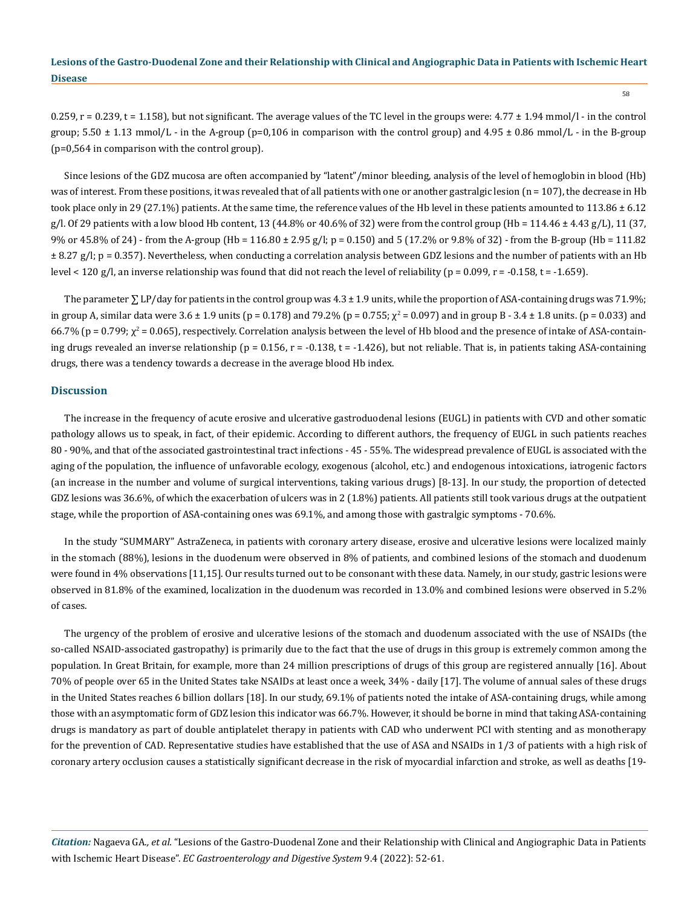0.259,  $r = 0.239$ ,  $t = 1.158$ ), but not significant. The average values of the TC level in the groups were:  $4.77 \pm 1.94$  mmol/l - in the control group;  $5.50 \pm 1.13$  mmol/L - in the A-group (p=0,106 in comparison with the control group) and  $4.95 \pm 0.86$  mmol/L - in the B-group (р=0,564 in comparison with the control group).

Since lesions of the GDZ mucosa are often accompanied by "latent"/minor bleeding, analysis of the level of hemoglobin in blood (Hb) was of interest. From these positions, it was revealed that of all patients with one or another gastralgic lesion (n = 107), the decrease in Hb took place only in 29 (27.1%) patients. At the same time, the reference values of the Hb level in these patients amounted to  $113.86 \pm 6.12$ g/l. Of 29 patients with a low blood Hb content, 13 (44.8% or 40.6% of 32) were from the control group (Hb =  $114.46 \pm 4.43$  g/L), 11 (37, 9% or 45.8% of 24) - from the A-group (Hb = 116.80 ± 2.95 g/l; p = 0.150) and 5 (17.2% or 9.8% of 32) - from the B-group (Hb = 111.82 ± 8.27 g/l; p = 0.357). Nevertheless, when conducting a correlation analysis between GDZ lesions and the number of patients with an Hb level < 120 g/l, an inverse relationship was found that did not reach the level of reliability (p = 0.099, r = -0.158, t = -1.659).

The parameter  $\Sigma$  LP/day for patients in the control group was  $4.3 \pm 1.9$  units, while the proportion of ASA-containing drugs was 71.9%; in group A, similar data were 3.6 ± 1.9 units (p = 0.178) and 79.2% (p = 0.755;  $χ² = 0.097$ ) and in group B - 3.4 ± 1.8 units. (p = 0.033) and  $66.7\%$  (p = 0.799;  $\chi^2$  = 0.065), respectively. Correlation analysis between the level of Hb blood and the presence of intake of ASA-containing drugs revealed an inverse relationship ( $p = 0.156$ ,  $r = -0.138$ ,  $t = -1.426$ ), but not reliable. That is, in patients taking ASA-containing drugs, there was a tendency towards a decrease in the average blood Hb index.

#### **Discussion**

The increase in the frequency of acute erosive and ulcerative gastroduodenal lesions (EUGL) in patients with CVD and other somatic pathology allows us to speak, in fact, of their epidemic. According to different authors, the frequency of EUGL in such patients reaches 80 - 90%, and that of the associated gastrointestinal tract infections - 45 - 55%. The widespread prevalence of EUGL is associated with the aging of the population, the influence of unfavorable ecology, exogenous (alcohol, etc.) and endogenous intoxications, iatrogenic factors (an increase in the number and volume of surgical interventions, taking various drugs) [8-13]. In our study, the proportion of detected GDZ lesions was 36.6%, of which the exacerbation of ulcers was in 2 (1.8%) patients. All patients still took various drugs at the outpatient stage, while the proportion of ASA-containing ones was 69.1%, and among those with gastralgic symptoms - 70.6%.

In the study "SUMMARY" AstraZeneca, in patients with coronary artery disease, erosive and ulcerative lesions were localized mainly in the stomach (88%), lesions in the duodenum were observed in 8% of patients, and combined lesions of the stomach and duodenum were found in 4% observations [11,15]. Our results turned out to be consonant with these data. Namely, in our study, gastric lesions were observed in 81.8% of the examined, localization in the duodenum was recorded in 13.0% and combined lesions were observed in 5.2% of cases.

The urgency of the problem of erosive and ulcerative lesions of the stomach and duodenum associated with the use of NSAIDs (the so-called NSAID-associated gastropathy) is primarily due to the fact that the use of drugs in this group is extremely common among the population. In Great Britain, for example, more than 24 million prescriptions of drugs of this group are registered annually [16]. About 70% of people over 65 in the United States take NSAIDs at least once a week, 34% - daily [17]. The volume of annual sales of these drugs in the United States reaches 6 billion dollars [18]. In our study, 69.1% of patients noted the intake of ASA-containing drugs, while among those with an asymptomatic form of GDZ lesion this indicator was 66.7%. However, it should be borne in mind that taking ASA-containing drugs is mandatory as part of double antiplatelet therapy in patients with CAD who underwent PCI with stenting and as monotherapy for the prevention of CAD. Representative studies have established that the use of ASA and NSAIDs in 1/3 of patients with a high risk of coronary artery occlusion causes a statistically significant decrease in the risk of myocardial infarction and stroke, as well as deaths [19-

*Citation:* Nagaeva GA*., et al.* "Lesions of the Gastro-Duodenal Zone and their Relationship with Clinical and Angiographic Data in Patients with Ischemic Heart Disease". *EC Gastroenterology and Digestive System* 9.4 (2022): 52-61.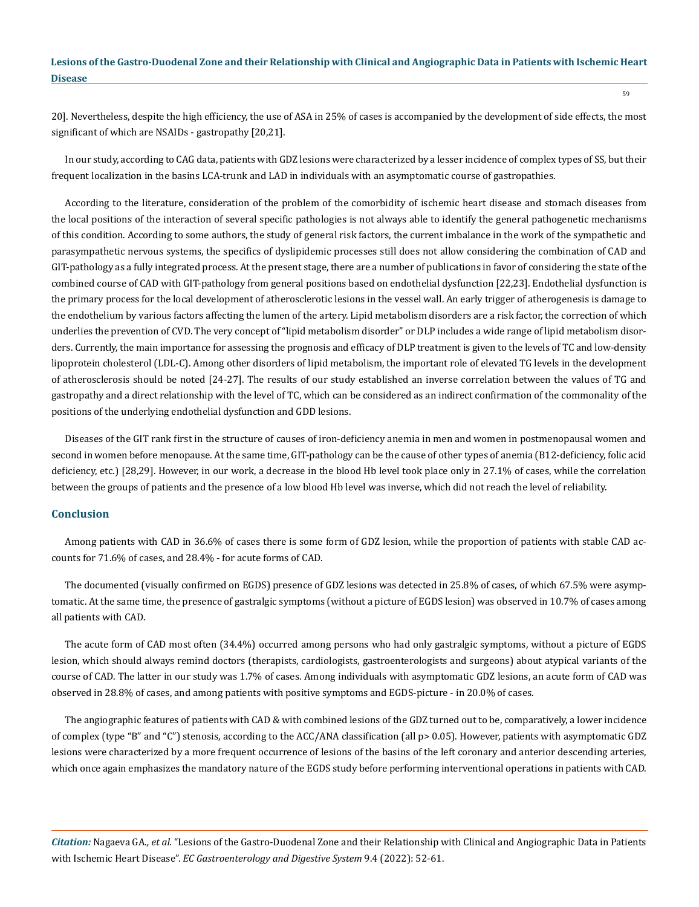20]. Nevertheless, despite the high efficiency, the use of ASA in 25% of cases is accompanied by the development of side effects, the most significant of which are NSAIDs - gastropathy [20,21].

In our study, according to CAG data, patients with GDZ lesions were characterized by a lesser incidence of complex types of SS, but their frequent localization in the basins LCA-trunk and LAD in individuals with an asymptomatic course of gastropathies.

According to the literature, consideration of the problem of the comorbidity of ischemic heart disease and stomach diseases from the local positions of the interaction of several specific pathologies is not always able to identify the general pathogenetic mechanisms of this condition. According to some authors, the study of general risk factors, the current imbalance in the work of the sympathetic and parasympathetic nervous systems, the specifics of dyslipidemic processes still does not allow considering the combination of CAD and GIT-pathology as a fully integrated process. At the present stage, there are a number of publications in favor of considering the state of the combined course of CAD with GIT-pathology from general positions based on endothelial dysfunction [22,23]. Endothelial dysfunction is the primary process for the local development of atherosclerotic lesions in the vessel wall. An early trigger of atherogenesis is damage to the endothelium by various factors affecting the lumen of the artery. Lipid metabolism disorders are a risk factor, the correction of which underlies the prevention of CVD. The very concept of "lipid metabolism disorder" or DLP includes a wide range of lipid metabolism disorders. Currently, the main importance for assessing the prognosis and efficacy of DLP treatment is given to the levels of TC and low-density lipoprotein cholesterol (LDL-C). Among other disorders of lipid metabolism, the important role of elevated TG levels in the development of atherosclerosis should be noted [24-27]. The results of our study established an inverse correlation between the values of TG and gastropathy and a direct relationship with the level of TC, which can be considered as an indirect confirmation of the commonality of the positions of the underlying endothelial dysfunction and GDD lesions.

Diseases of the GIT rank first in the structure of causes of iron-deficiency anemia in men and women in postmenopausal women and second in women before menopause. At the same time, GIT-pathology can be the cause of other types of anemia (B12-deficiency, folic acid deficiency, etc.) [28,29]. However, in our work, a decrease in the blood Hb level took place only in 27.1% of cases, while the correlation between the groups of patients and the presence of a low blood Hb level was inverse, which did not reach the level of reliability.

#### **Conclusion**

Among patients with CAD in 36.6% of cases there is some form of GDZ lesion, while the proportion of patients with stable CAD accounts for 71.6% of cases, and 28.4% - for acute forms of CAD.

The documented (visually confirmed on EGDS) presence of GDZ lesions was detected in 25.8% of cases, of which 67.5% were asymptomatic. At the same time, the presence of gastralgic symptoms (without a picture of EGDS lesion) was observed in 10.7% of cases among all patients with CAD.

The acute form of CAD most often (34.4%) occurred among persons who had only gastralgic symptoms, without a picture of EGDS lesion, which should always remind doctors (therapists, cardiologists, gastroenterologists and surgeons) about atypical variants of the course of CAD. The latter in our study was 1.7% of cases. Among individuals with asymptomatic GDZ lesions, an acute form of CAD was observed in 28.8% of cases, and among patients with positive symptoms and EGDS-picture - in 20.0% of cases.

The angiographic features of patients with CAD & with combined lesions of the GDZ turned out to be, comparatively, a lower incidence of complex (type "B" and "C") stenosis, according to the ACC/ANA classification (all p> 0.05). However, patients with asymptomatic GDZ lesions were characterized by a more frequent occurrence of lesions of the basins of the left coronary and anterior descending arteries, which once again emphasizes the mandatory nature of the EGDS study before performing interventional operations in patients with CAD.

*Citation:* Nagaeva GA*., et al.* "Lesions of the Gastro-Duodenal Zone and their Relationship with Clinical and Angiographic Data in Patients with Ischemic Heart Disease". *EC Gastroenterology and Digestive System* 9.4 (2022): 52-61.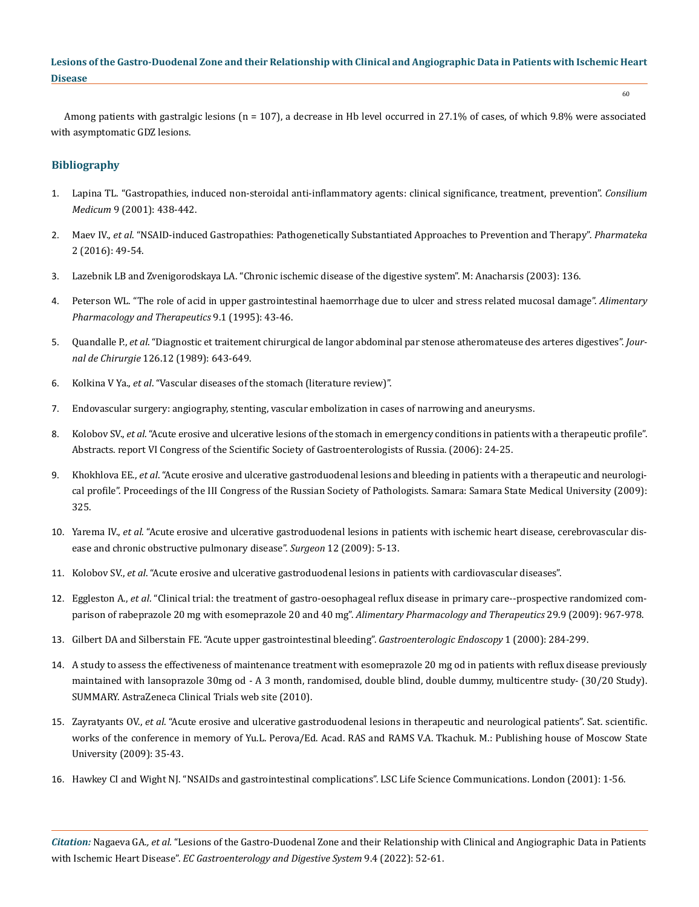60

Among patients with gastralgic lesions (n = 107), a decrease in Hb level occurred in 27.1% of cases, of which 9.8% were associated with asymptomatic GDZ lesions.

## **Bibliography**

- 1. Lapina TL. "Gastropathies, induced non-steroidal anti-inflammatory agents: clinical significance, treatment, prevention". *Consilium Medicum* 9 (2001): 438-442.
- 2. Maev IV., *еt al*. "NSAID-induced Gastropathies: Pathogenetically Substantiated Approaches to Prevention and Therapy". *Pharmateka*  2 (2016): 49-54.
- 3. Lazebnik LB and Zvenigorodskaya LA. "Chronic ischemic disease of the digestive system". M: Anacharsis (2003): 136.
- 4. [Peterson WL. "The role of acid in upper gastrointestinal haemorrhage due to ulcer and stress related mucosal damage".](https://pubmed.ncbi.nlm.nih.gov/7495942/) *Alimentary [Pharmacology and Therapeutics](https://pubmed.ncbi.nlm.nih.gov/7495942/)* 9.1 (1995): 43-46.
- 5. Quandalle P., *еt al*[. "Diagnostic et traitement chirurgical de langor abdominal par stenose atheromateuse des arteres digestives".](https://www.lissa.fr/rep/articles/2621232) *Journal de Chirurgie* [126.12 \(1989\): 643-649.](https://www.lissa.fr/rep/articles/2621232)
- 6. Kolkina V Ya., *еt al*[. "Vascular diseases of the stomach \(literature review\)".](http://www.mif-ua.com/archive/article/37160)
- 7. [Endovascular surgery: angiography, stenting, vascular embolization in cases of narrowing and aneurysms.](http://interventionalradiology.ru/classifications/classification-coronary-arteries/31-classification-acc-aha.html)
- 8. Kolobov SV., *еt al*. "Acute erosive and ulcerative lesions of the stomach in emergency conditions in patients with a therapeutic profile". Abstracts. report VI Congress of the Scientific Society of Gastroenterologists of Russia. (2006): 24-25.
- 9. Khokhlova EE., *еt al*. "Acute erosive and ulcerative gastroduodenal lesions and bleeding in patients with a therapeutic and neurological profile". Proceedings of the III Congress of the Russian Society of Pathologists. Samara: Samara State Medical University (2009): 325.
- 10. Yarema IV., *еt al*. "Acute erosive and ulcerative gastroduodenal lesions in patients with ischemic heart disease, cerebrovascular disease and chronic obstructive pulmonary disease". *Surgeon* 12 (2009): 5-13.
- 11. Kolobov SV., *еt al*[. "Acute erosive and ulcerative gastroduodenal lesions in patients with cardiovascular diseases".](https://internist.ru/publications/detail/ostrye-erozivno-yazvennye-gastroduodenalnye-porazheniya-u-bolnyh-serdechno-sosudistymi-zabolevaniyami)
- 12. Eggleston A., *еt al*[. "Clinical trial: the treatment of gastro-oesophageal reflux disease in primary care--prospective randomized com](https://pubmed.ncbi.nlm.nih.gov/19210493/)[parison of rabeprazole 20 mg with esomeprazole 20 and 40 mg".](https://pubmed.ncbi.nlm.nih.gov/19210493/) *Alimentary Pharmacology and Therapeutics* 29.9 (2009): 967-978.
- 13. Gilbert DA and Silberstain FE. "Acute upper gastrointestinal bleeding". *Gastroenterologic Endoscopy* 1 (2000): 284-299.
- 14. A study to assess the effectiveness of maintenance treatment with esomeprazole 20 mg od in patients with reflux disease previously maintained with lansoprazole 30mg od - A 3 month, randomised, double blind, double dummy, multicentre study- (30/20 Study). SUMMARY. AstraZeneca Clinical Trials web site (2010).
- 15. Zayratyants OV., *еt al*. "Acute erosive and ulcerative gastroduodenal lesions in therapeutic and neurological patients". Sat. scientific. works of the conference in memory of Yu.L. Perova/Ed. Acad. RAS and RAMS V.A. Tkachuk. M.: Publishing house of Moscow State University (2009): 35-43.
- 16. Hawkey CI and Wight NJ. "NSAIDs and gastrointestinal complications". LSC Life Science Communications. London (2001): 1-56.